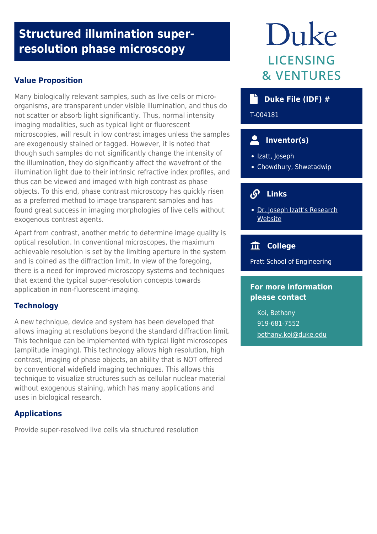# **Structured illumination superresolution phase microscopy**

# **Value Proposition**

Many biologically relevant samples, such as live cells or microorganisms, are transparent under visible illumination, and thus do not scatter or absorb light significantly. Thus, normal intensity imaging modalities, such as typical light or fluorescent microscopies, will result in low contrast images unless the samples are exogenously stained or tagged. However, it is noted that though such samples do not significantly change the intensity of the illumination, they do significantly affect the wavefront of the illumination light due to their intrinsic refractive index profiles, and thus can be viewed and imaged with high contrast as phase objects. To this end, phase contrast microscopy has quickly risen as a preferred method to image transparent samples and has found great success in imaging morphologies of live cells without exogenous contrast agents.

Apart from contrast, another metric to determine image quality is optical resolution. In conventional microscopes, the maximum achievable resolution is set by the limiting aperture in the system and is coined as the diffraction limit. In view of the foregoing, there is a need for improved microscopy systems and techniques that extend the typical super-resolution concepts towards application in non-fluorescent imaging.

## **Technology**

A new technique, device and system has been developed that allows imaging at resolutions beyond the standard diffraction limit. This technique can be implemented with typical light microscopes (amplitude imaging). This technology allows high resolution, high contrast, imaging of phase objects, an ability that is NOT offered by conventional widefield imaging techniques. This allows this technique to visualize structures such as cellular nuclear material without exogenous staining, which has many applications and uses in biological research.

## **Applications**

Provide super-resolved live cells via structured resolution

# Duke LICENSING **& VENTURES**

# **Duke File (IDF) #**

T-004181

# **Inventor(s)**

- · Izatt, Joseph
- Chowdhury, Shwetadwip

#### $\Omega$  **Links**

• [Dr. Joseph Izatt's Research](http://biophotonics.bme.duke.edu/people) **[Website](http://biophotonics.bme.duke.edu/people)** 

# **College**

Pratt School of Engineering

# **For more information please contact**

Koi, Bethany 919-681-7552 [bethany.koi@duke.edu](mailto:bethany.koi@duke.edu)